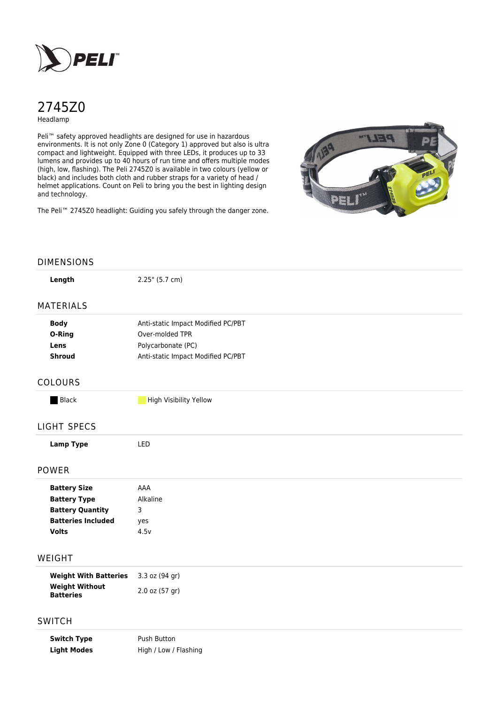

# 2745Z0

Headlamp

Peli<sup>™</sup> safety approved headlights are designed for use in hazardous environments. It is not only Zone 0 (Category 1) approved but also is ultra compact and lightweight. Equipped with three LEDs, it produces up to 33 lumens and provides up to 40 hours of run time and offers multiple modes (high, low, flashing). The Peli 2745Z0 is available in two colours (yellow or black) and includes both cloth and rubber straps for a variety of head / helmet applications. Count on Peli to bring you the best in lighting design and technology.

The Peli™ 2745Z0 headlight: Guiding you safely through the danger zone.



## DIMENSIONS

| Length | $2.25$ " (5.7 cm) |  |
|--------|-------------------|--|

#### MATERIALS

| <b>Body</b> | Anti-static Impact Modified PC/PBT |  |
|-------------|------------------------------------|--|
| O-Ring      | Over-molded TPR                    |  |
| Lens        | Polycarbonate (PC)                 |  |
| Shroud      | Anti-static Impact Modified PC/PBT |  |

#### COLOURS

**Black High Visibility Yellow** 

### LIGHT SPECS

**Lamp Type** LED

#### POWER

| <b>Battery Size</b>       | AAA      |
|---------------------------|----------|
| <b>Battery Type</b>       | Alkaline |
| <b>Battery Quantity</b>   | 3        |
| <b>Batteries Included</b> | yes      |
| Volts                     | 4.5v     |
|                           |          |

## WEIGHT

| <b>Weight With Batteries</b>              | $3.3$ oz (94 gr)   |
|-------------------------------------------|--------------------|
| <b>Weight Without</b><br><b>Batteries</b> | $2.0$ oz $(57$ gr) |

# **SWITCH**

**Switch Type** Push Button Light Modes High / Low / Flashing